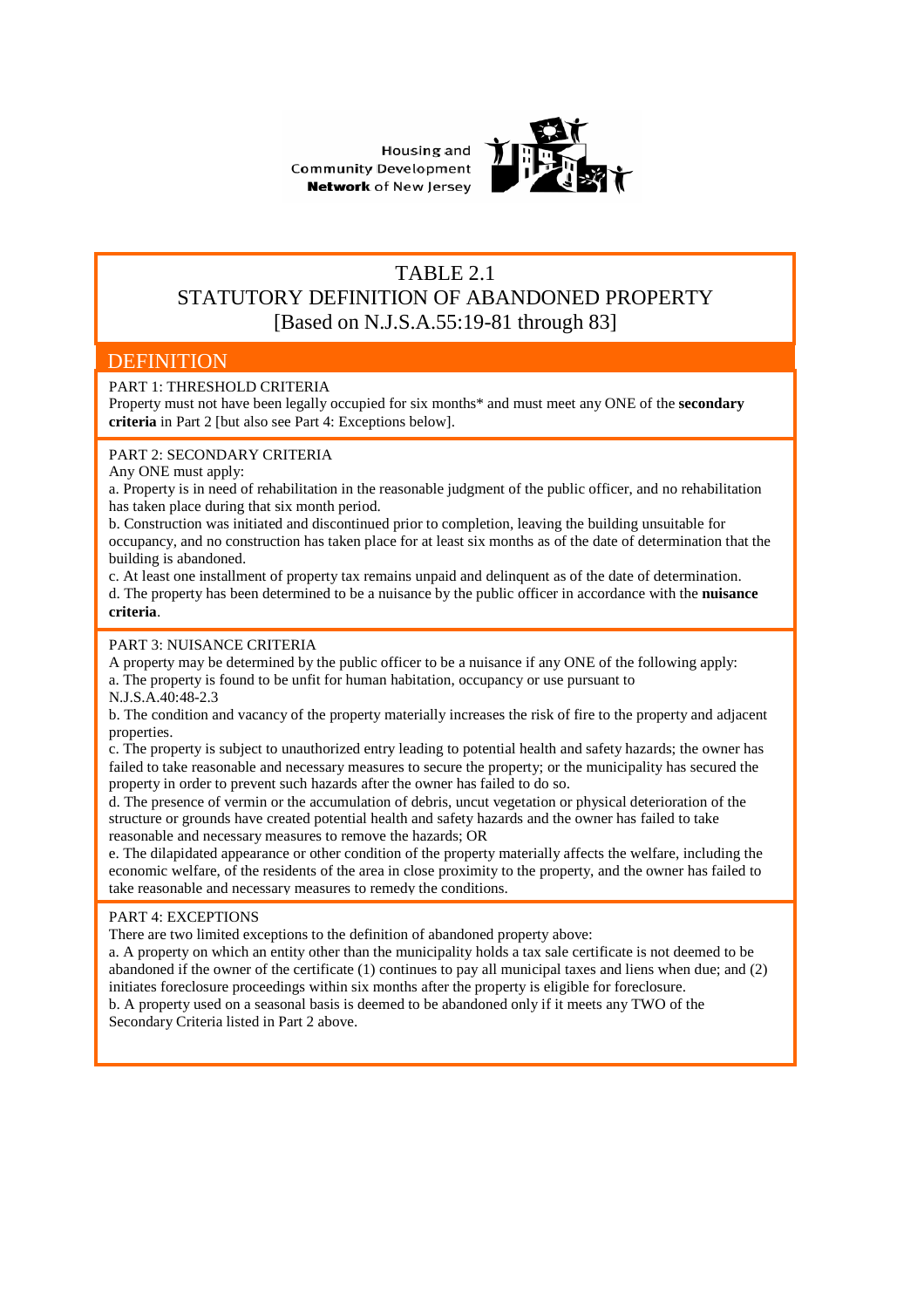



## TABLE 2.1 STATUTORY DEFINITION OF ABANDONED PROPERTY [Based on N.J.S.A.55:19-81 through 83]

## **DEFINITION**

### PART 1: THRESHOLD CRITERIA

Property must not have been legally occupied for six months\* and must meet any ONE of the **secondary criteria** in Part 2 [but also see Part 4: Exceptions below].

### PART 2: SECONDARY CRITERIA

Any ONE must apply:

a. Property is in need of rehabilitation in the reasonable judgment of the public officer, and no rehabilitation has taken place during that six month period.

b. Construction was initiated and discontinued prior to completion, leaving the building unsuitable for occupancy, and no construction has taken place for at least six months as of the date of determination that the building is abandoned.

c. At least one installment of property tax remains unpaid and delinquent as of the date of determination. d. The property has been determined to be a nuisance by the public officer in accordance with the **nuisance criteria**.

#### PART 3: NUISANCE CRITERIA

A property may be determined by the public officer to be a nuisance if any ONE of the following apply: a. The property is found to be unfit for human habitation, occupancy or use pursuant to N.J.S.A.40:48-2.3

b. The condition and vacancy of the property materially increases the risk of fire to the property and adjacent properties.

c. The property is subject to unauthorized entry leading to potential health and safety hazards; the owner has failed to take reasonable and necessary measures to secure the property; or the municipality has secured the property in order to prevent such hazards after the owner has failed to do so.

d. The presence of vermin or the accumulation of debris, uncut vegetation or physical deterioration of the structure or grounds have created potential health and safety hazards and the owner has failed to take reasonable and necessary measures to remove the hazards; OR

e. The dilapidated appearance or other condition of the property materially affects the welfare, including the economic welfare, of the residents of the area in close proximity to the property, and the owner has failed to take reasonable and necessary measures to remedy the conditions.

#### PART 4: EXCEPTIONS

There are two limited exceptions to the definition of abandoned property above:

a. A property on which an entity other than the municipality holds a tax sale certificate is not deemed to be abandoned if the owner of the certificate (1) continues to pay all municipal taxes and liens when due; and (2) initiates foreclosure proceedings within six months after the property is eligible for foreclosure. b. A property used on a seasonal basis is deemed to be abandoned only if it meets any TWO of the Secondary Criteria listed in Part 2 above.